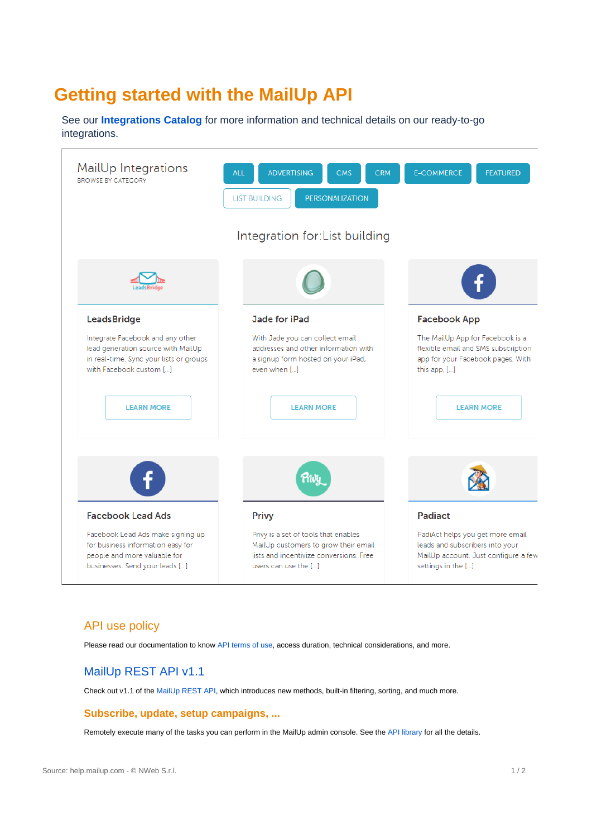# **Getting started with the MailUp API**

See our **[Integrations Catalog](https://integrations.mailup.com/en/)** for more information and technical details on our ready-to-go integrations.



### API use policy

Please read our documentation to know [API terms of use](http://help.mailup.com/display/mailupapi/API+use+policy), access duration, technical considerations, and more.

## [MailUp REST API v1.1](https://help.mailup.com/display/mailupapi/REST+API)

Check out v1.1 of the [MailUp REST API](https://help.mailup.com/display/mailupapi/REST+API), which introduces new methods, built-in filtering, sorting, and much more.

#### **Subscribe, update, setup campaigns, ...**

Remotely execute many of the tasks you can perform in the MailUp admin console. See the [API library](https://help.mailup.com/display/mailupapi/Introducing+the+MailUp+API) for all the details.